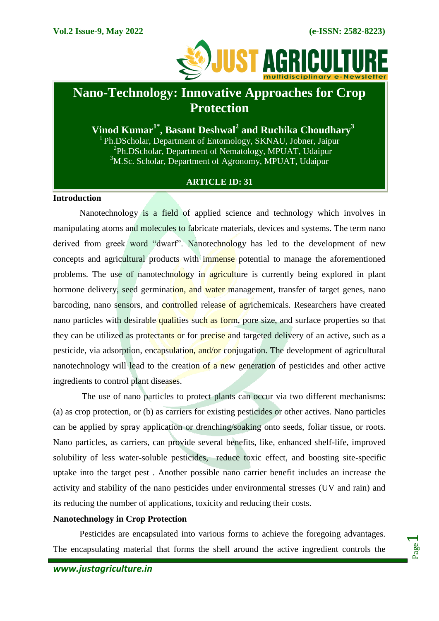

# **Nano-Technology: Innovative Approaches for Crop Protection**

**Vinod Kumar1\*, Basant Deshwal<sup>2</sup> and Ruchika Choudhary<sup>3</sup>** <sup>1</sup> Ph.DScholar, Department of Entomology, SKNAU, Jobner, Jaipur

<sup>2</sup>Ph.DScholar, Department of Nematology, MPUAT, Udaipur  $3$ M.Sc. Scholar, Department of Agronomy, MPUAT, Udaipur

# **ARTICLE ID: 31**

# **Introduction**

Nanotechnology is a field of applied science and technology which involves in manipulating atoms and molecules to fabricate materials, devices and systems. The term nano derived from greek word "dwarf". Nanotechnology has led to the development of new concepts and agricultural products with immense potential to manage the aforementioned problems. The use of nanotechnology in agriculture is currently being explored in plant hormone delivery, seed germination, and water management, transfer of target genes, nano barcoding, nano sensors, and controlled release of agrichemicals. Researchers have created nano particles with desirable qualities such as form, pore size, and surface properties so that they can be utilized as protectants or for precise and targeted delivery of an active, such as a pesticide, via adsorption, encapsulation, and/or conjugation. The development of agricultural nanotechnology will lead to the creation of a new generation of pesticides and other active ingredients to control plant diseases.

The use of nano particles to protect plants can occur via two different mechanisms: (a) as crop protection, or (b) as carriers for existing pesticides or other actives. Nano particles can be applied by spray application or drenching/soaking onto seeds, foliar tissue, or roots. Nano particles, as carriers, can provide several benefits, like, enhanced shelf-life, improved solubility of less water-soluble pesticides, reduce toxic effect, and boosting site-specific uptake into the target pest . Another possible nano carrier benefit includes an increase the activity and stability of the nano pesticides under environmental stresses (UV and rain) and its reducing the number of applications, toxicity and reducing their costs.

#### **Nanotechnology in Crop Protection**

Pesticides are encapsulated into various forms to achieve the foregoing advantages. The encapsulating material that forms the shell around the active ingredient controls the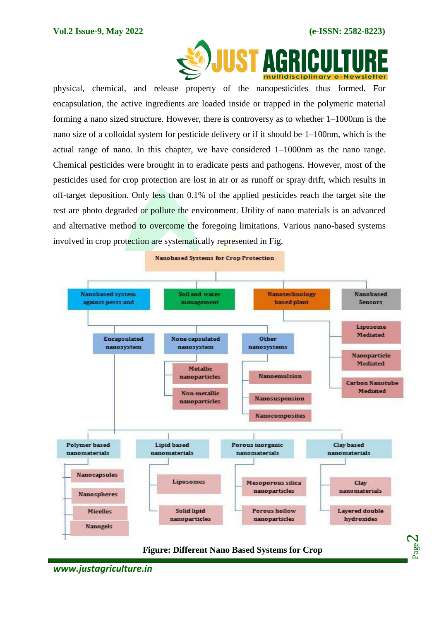

physical, chemical, and release property of the nanopesticides thus formed. For encapsulation, the active ingredients are loaded inside or trapped in the polymeric material forming a nano sized structure. However, there is controversy as to whether 1–1000nm is the nano size of a colloidal system for pesticide delivery or if it should be 1–100nm, which is the actual range of nano. In this chapter, we have considered 1–1000nm as the nano range. Chemical pesticides were brought in to eradicate pests and pathogens. However, most of the pesticides used for crop protection are lost in air or as runoff or spray drift, which results in off-target deposition. Only less than 0.1% of the applied pesticides reach the target site the rest are photo degraded or pollute the environment. Utility of nano materials is an advanced and alternative method to overcome the foregoing limitations. Various nano-based systems involved in crop protection are systematically represented in Fig.



*www.justagriculture.in*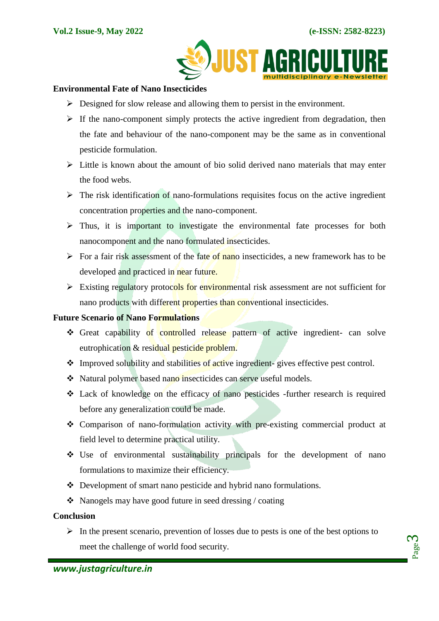

#### **Environmental Fate of Nano Insecticides**

- $\triangleright$  Designed for slow release and allowing them to persist in the environment.
- $\triangleright$  If the nano-component simply protects the active ingredient from degradation, then the fate and behaviour of the nano-component may be the same as in conventional pesticide formulation.
- $\triangleright$  Little is known about the amount of bio solid derived nano materials that may enter the food webs.
- $\triangleright$  The risk identification of nano-formulations requisites focus on the active ingredient concentration properties and the nano-component.
- $\triangleright$  Thus, it is important to investigate the environmental fate processes for both nanocomponent and the nano formulated insecticides.
- For a fair risk assessment of the fate of nano insecticides, a new framework has to be developed and practiced in near future.
- $\triangleright$  Existing regulatory protocols for environmental risk assessment are not sufficient for nano products with different properties than conventional insecticides.

## **Future Scenario of Nano Formulations**

- Great capability of controlled release pattern of active ingredient- can solve eutrophication & residual pesticide problem.
- $\cdot$  Improved solubility and stabilities of active ingredient-gives effective pest control.
- Natural polymer based nano insecticides can serve useful models.
- Lack of knowledge on the efficacy of nano pesticides -further research is required before any generalization could be made.
- Comparison of nano-formulation activity with pre-existing commercial product at field level to determine practical utility.
- Use of environmental sustainability principals for the development of nano formulations to maximize their efficiency.
- Development of smart nano pesticide and hybrid nano formulations.
- $\triangle$  Nanogels may have good future in seed dressing / coating

## **Conclusion**

 $\triangleright$  In the present scenario, prevention of losses due to pests is one of the best options to meet the challenge of world food security.